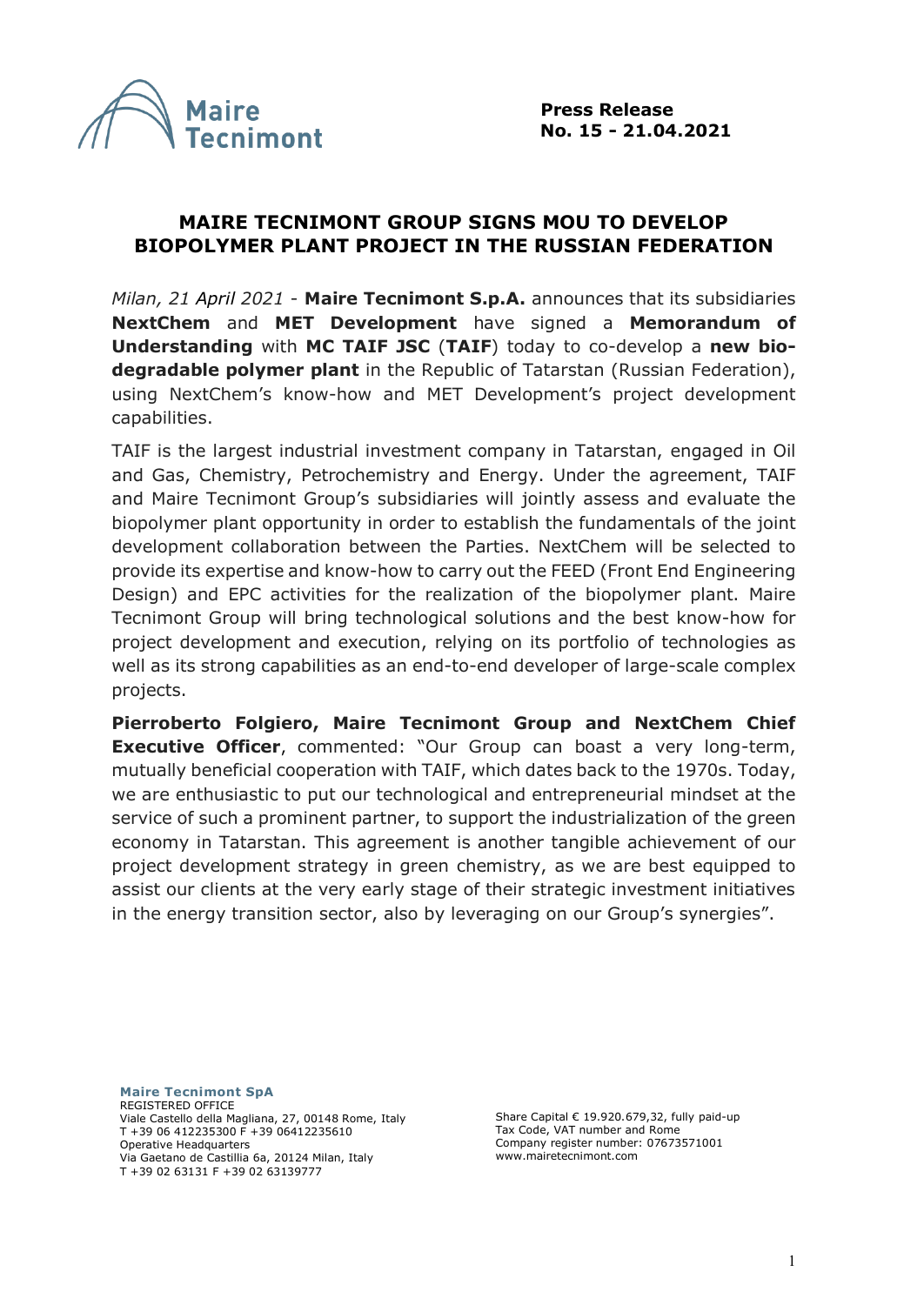

## **MAIRE TECNIMONT GROUP SIGNS MOU TO DEVELOP BIOPOLYMER PLANT PROJECT IN THE RUSSIAN FEDERATION**

*Milan, 21 April 2021* - **Maire Tecnimont S.p.A.** announces that its subsidiaries **NextChem** and **MET Development** have signed a **Memorandum of Understanding** with **MC TAIF JSC** (**TAIF**) today to co-develop a **new biodegradable polymer plant** in the Republic of Tatarstan (Russian Federation), using NextChem's know-how and MET Development's project development capabilities.

TAIF is the largest industrial investment company in Tatarstan, engaged in Oil and Gas, Chemistry, Petrochemistry and Energy. Under the agreement, TAIF and Maire Tecnimont Group's subsidiaries will jointly assess and evaluate the biopolymer plant opportunity in order to establish the fundamentals of the joint development collaboration between the Parties. NextChem will be selected to provide its expertise and know-how to carry out the FEED (Front End Engineering Design) and EPC activities for the realization of the biopolymer plant. Maire Tecnimont Group will bring technological solutions and the best know-how for project development and execution, relying on its portfolio of technologies as well as its strong capabilities as an end-to-end developer of large-scale complex projects.

**Pierroberto Folgiero, Maire Tecnimont Group and NextChem Chief Executive Officer**, commented: "Our Group can boast a very long-term, mutually beneficial cooperation with TAIF, which dates back to the 1970s. Today, we are enthusiastic to put our technological and entrepreneurial mindset at the service of such a prominent partner, to support the industrialization of the green economy in Tatarstan. This agreement is another tangible achievement of our project development strategy in green chemistry, as we are best equipped to assist our clients at the very early stage of their strategic investment initiatives in the energy transition sector, also by leveraging on our Group's synergies".

**Maire Tecnimont SpA** REGISTERED OFFICE Viale Castello della Magliana, 27, 00148 Rome, Italy T +39 06 412235300 F +39 06412235610 Operative Headquarters Via Gaetano de Castillia 6a, 20124 Milan, Italy T +39 02 63131 F +39 02 63139777

Share Capital € 19.920.679,32, fully paid-up Tax Code, VAT number and Rome Company register number: 07673571001 www.mairetecnimont.com